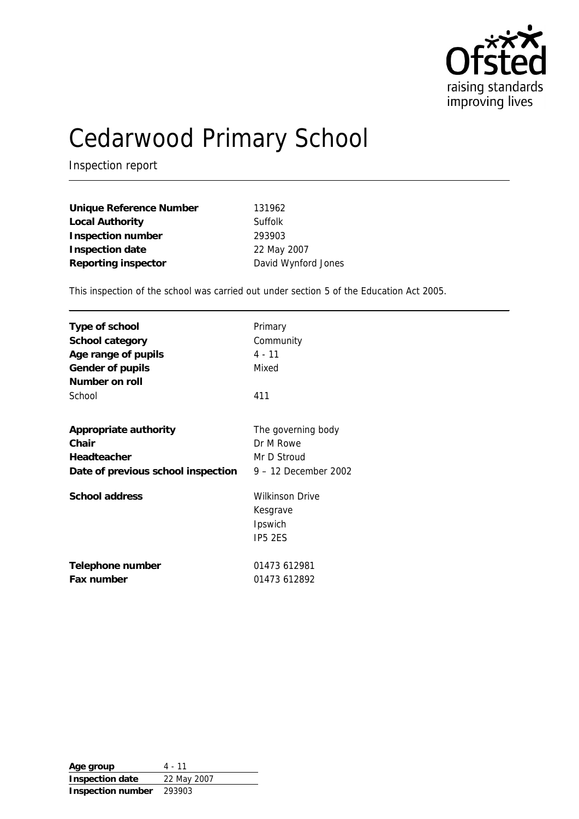

# Cedarwood Primary School

Inspection report

| Unique Reference Number | 131962              |
|-------------------------|---------------------|
| Local Authority         | Suffolk             |
| Inspection number       | 293903              |
| Inspection date         | 22 May 2007         |
| Reporting inspector     | David Wynford Jones |

This inspection of the school was carried out under section 5 of the Education Act 2005.

| Type of school<br>School category<br>Age range of pupils<br>Gender of pupils<br>Number on roll<br>School | Primary<br>Community<br>$4 - 11$<br>Mixed<br>411         |
|----------------------------------------------------------------------------------------------------------|----------------------------------------------------------|
| Appropriate authority                                                                                    | The governing body                                       |
| Chair                                                                                                    | Dr M Rowe                                                |
| Headteacher                                                                                              | Mr D Stroud                                              |
| Date of previous school inspection                                                                       | 9 - 12 December 2002                                     |
| School address                                                                                           | <b>Wilkinson Drive</b><br>Kesgrave<br>Ipswich<br>IP5 2ES |
| Telephone number                                                                                         | 01473 612981                                             |
| Fax number                                                                                               | 01473 612892                                             |

**Age group** 4 - 11 **Inspection date** 22 May 2007 **Inspection number** 293903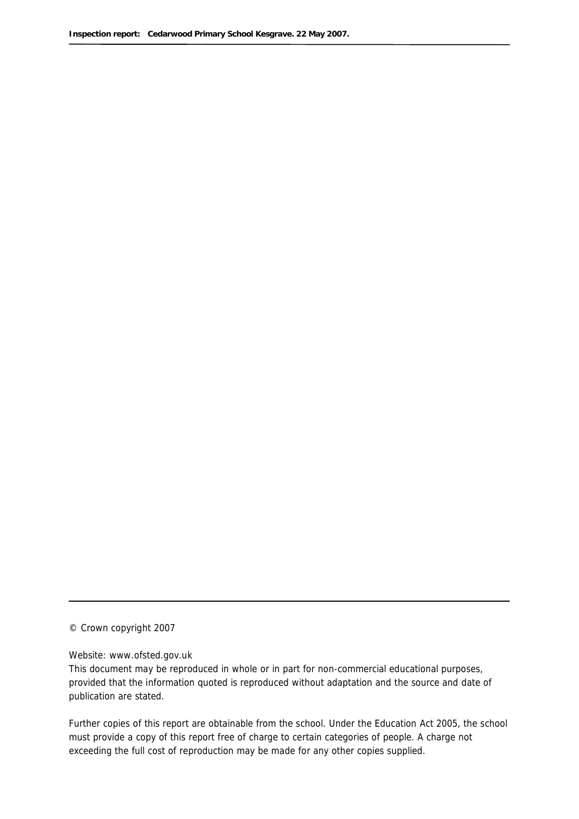© Crown copyright 2007

#### Website: www.ofsted.gov.uk

This document may be reproduced in whole or in part for non-commercial educational purposes, provided that the information quoted is reproduced without adaptation and the source and date of publication are stated.

Further copies of this report are obtainable from the school. Under the Education Act 2005, the school must provide a copy of this report free of charge to certain categories of people. A charge not exceeding the full cost of reproduction may be made for any other copies supplied.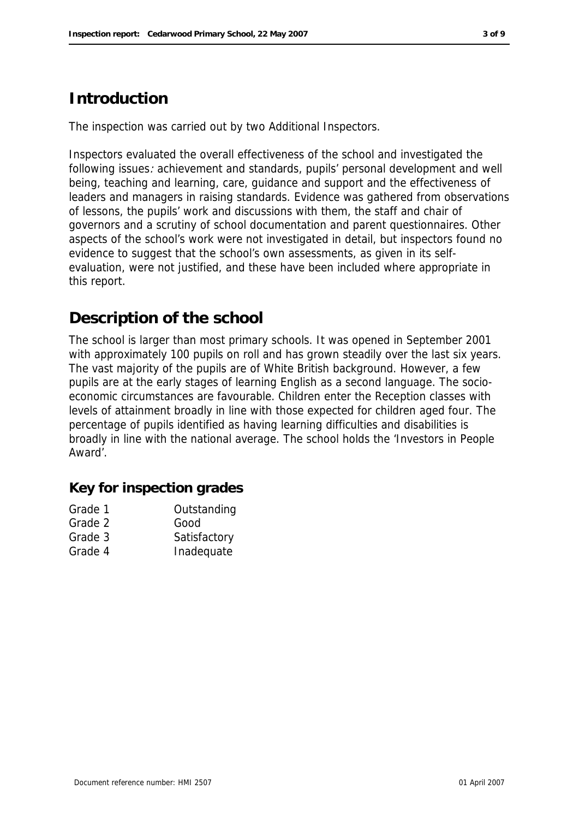# **Introduction**

The inspection was carried out by two Additional Inspectors.

Inspectors evaluated the overall effectiveness of the school and investigated the following issues: achievement and standards, pupils' personal development and well being, teaching and learning, care, guidance and support and the effectiveness of leaders and managers in raising standards. Evidence was gathered from observations of lessons, the pupils' work and discussions with them, the staff and chair of governors and a scrutiny of school documentation and parent questionnaires. Other aspects of the school's work were not investigated in detail, but inspectors found no evidence to suggest that the school's own assessments, as given in its selfevaluation, were not justified, and these have been included where appropriate in this report.

# **Description of the school**

The school is larger than most primary schools. It was opened in September 2001 with approximately 100 pupils on roll and has grown steadily over the last six years. The vast majority of the pupils are of White British background. However, a few pupils are at the early stages of learning English as a second language. The socioeconomic circumstances are favourable. Children enter the Reception classes with levels of attainment broadly in line with those expected for children aged four. The percentage of pupils identified as having learning difficulties and disabilities is broadly in line with the national average. The school holds the 'Investors in People Award'.

**Key for inspection grades**

| Grade 1 | Outstanding  |
|---------|--------------|
| Grade 2 | Good         |
| Grade 3 | Satisfactory |
| Grade 4 | Inadequate   |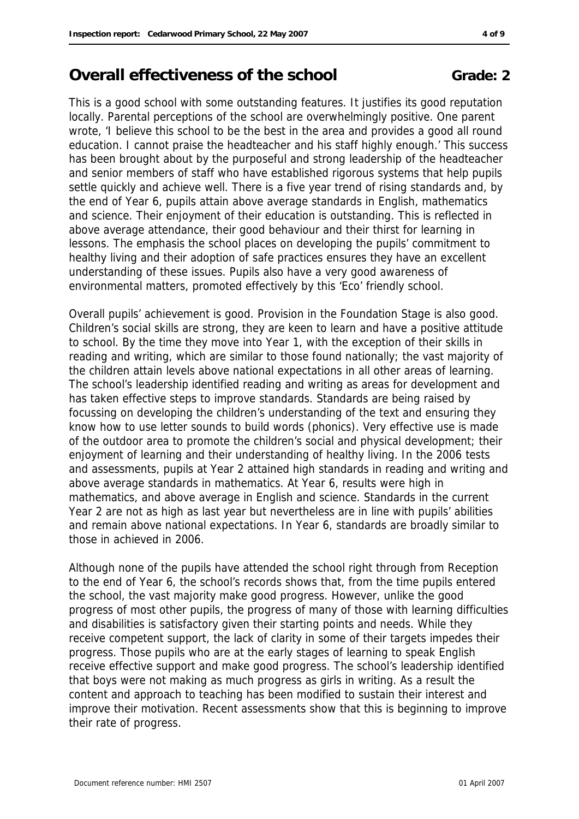# **Overall effectiveness of the school <b>Grade:** 2

This is a good school with some outstanding features. It justifies its good reputation locally. Parental perceptions of the school are overwhelmingly positive. One parent wrote, 'I believe this school to be the best in the area and provides a good all round education. I cannot praise the headteacher and his staff highly enough.' This success has been brought about by the purposeful and strong leadership of the headteacher and senior members of staff who have established rigorous systems that help pupils settle quickly and achieve well. There is a five year trend of rising standards and, by the end of Year 6, pupils attain above average standards in English, mathematics and science. Their enjoyment of their education is outstanding. This is reflected in above average attendance, their good behaviour and their thirst for learning in lessons. The emphasis the school places on developing the pupils' commitment to healthy living and their adoption of safe practices ensures they have an excellent understanding of these issues. Pupils also have a very good awareness of environmental matters, promoted effectively by this 'Eco' friendly school.

Overall pupils' achievement is good. Provision in the Foundation Stage is also good. Children's social skills are strong, they are keen to learn and have a positive attitude to school. By the time they move into Year 1, with the exception of their skills in reading and writing, which are similar to those found nationally; the vast majority of the children attain levels above national expectations in all other areas of learning. The school's leadership identified reading and writing as areas for development and has taken effective steps to improve standards. Standards are being raised by focussing on developing the children's understanding of the text and ensuring they know how to use letter sounds to build words (phonics). Very effective use is made of the outdoor area to promote the children's social and physical development; their enjoyment of learning and their understanding of healthy living. In the 2006 tests and assessments, pupils at Year 2 attained high standards in reading and writing and above average standards in mathematics. At Year 6, results were high in mathematics, and above average in English and science. Standards in the current Year 2 are not as high as last year but nevertheless are in line with pupils' abilities and remain above national expectations. In Year 6, standards are broadly similar to those in achieved in 2006.

Although none of the pupils have attended the school right through from Reception to the end of Year 6, the school's records shows that, from the time pupils entered the school, the vast majority make good progress. However, unlike the good progress of most other pupils, the progress of many of those with learning difficulties and disabilities is satisfactory given their starting points and needs. While they receive competent support, the lack of clarity in some of their targets impedes their progress. Those pupils who are at the early stages of learning to speak English receive effective support and make good progress. The school's leadership identified that boys were not making as much progress as girls in writing. As a result the content and approach to teaching has been modified to sustain their interest and improve their motivation. Recent assessments show that this is beginning to improve their rate of progress.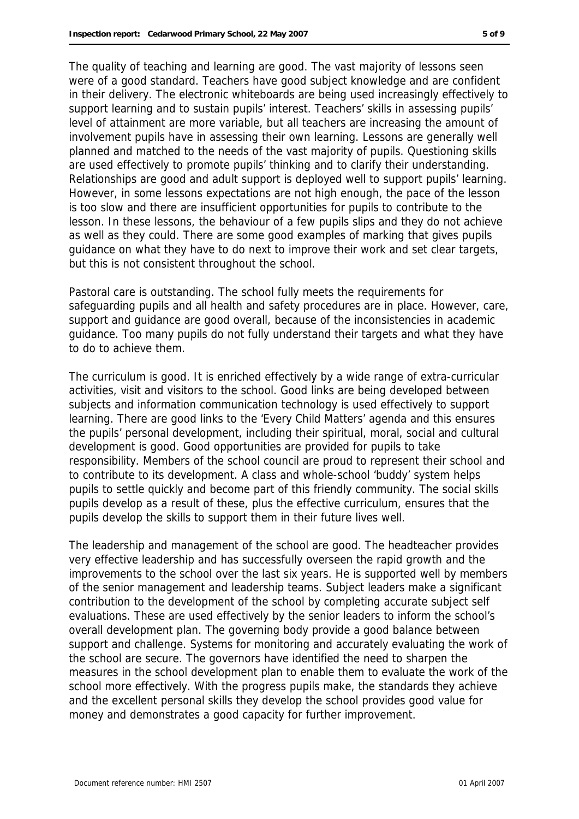The quality of teaching and learning are good. The vast majority of lessons seen were of a good standard. Teachers have good subject knowledge and are confident in their delivery. The electronic whiteboards are being used increasingly effectively to support learning and to sustain pupils' interest. Teachers' skills in assessing pupils' level of attainment are more variable, but all teachers are increasing the amount of involvement pupils have in assessing their own learning. Lessons are generally well planned and matched to the needs of the vast majority of pupils. Questioning skills are used effectively to promote pupils' thinking and to clarify their understanding. Relationships are good and adult support is deployed well to support pupils' learning. However, in some lessons expectations are not high enough, the pace of the lesson is too slow and there are insufficient opportunities for pupils to contribute to the lesson. In these lessons, the behaviour of a few pupils slips and they do not achieve as well as they could. There are some good examples of marking that gives pupils guidance on what they have to do next to improve their work and set clear targets, but this is not consistent throughout the school.

Pastoral care is outstanding. The school fully meets the requirements for safeguarding pupils and all health and safety procedures are in place. However, care, support and guidance are good overall, because of the inconsistencies in academic guidance. Too many pupils do not fully understand their targets and what they have to do to achieve them.

The curriculum is good. It is enriched effectively by a wide range of extra-curricular activities, visit and visitors to the school. Good links are being developed between subjects and information communication technology is used effectively to support learning. There are good links to the 'Every Child Matters' agenda and this ensures the pupils' personal development, including their spiritual, moral, social and cultural development is good. Good opportunities are provided for pupils to take responsibility. Members of the school council are proud to represent their school and to contribute to its development. A class and whole-school 'buddy' system helps pupils to settle quickly and become part of this friendly community. The social skills pupils develop as a result of these, plus the effective curriculum, ensures that the pupils develop the skills to support them in their future lives well.

The leadership and management of the school are good. The headteacher provides very effective leadership and has successfully overseen the rapid growth and the improvements to the school over the last six years. He is supported well by members of the senior management and leadership teams. Subject leaders make a significant contribution to the development of the school by completing accurate subject self evaluations. These are used effectively by the senior leaders to inform the school's overall development plan. The governing body provide a good balance between support and challenge. Systems for monitoring and accurately evaluating the work of the school are secure. The governors have identified the need to sharpen the measures in the school development plan to enable them to evaluate the work of the school more effectively. With the progress pupils make, the standards they achieve and the excellent personal skills they develop the school provides good value for money and demonstrates a good capacity for further improvement.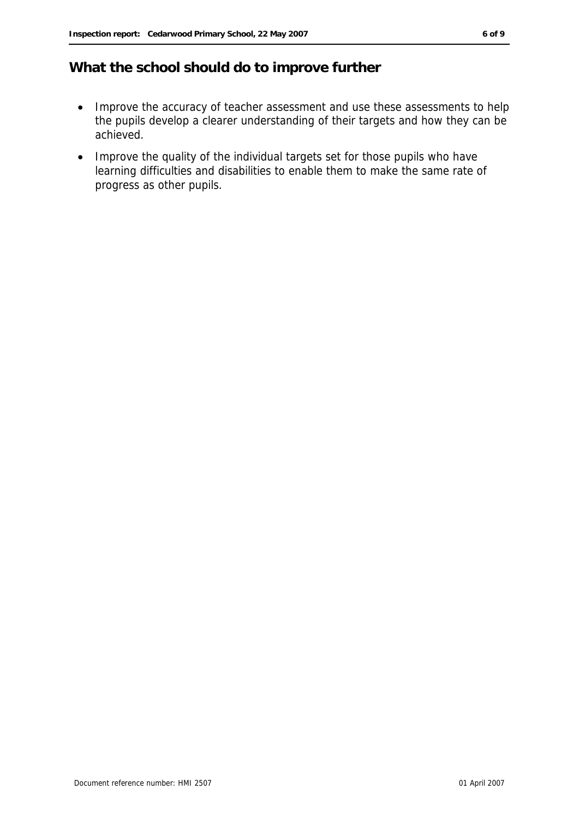### **What the school should do to improve further**

- Improve the accuracy of teacher assessment and use these assessments to help the pupils develop a clearer understanding of their targets and how they can be achieved.
- Improve the quality of the individual targets set for those pupils who have learning difficulties and disabilities to enable them to make the same rate of progress as other pupils.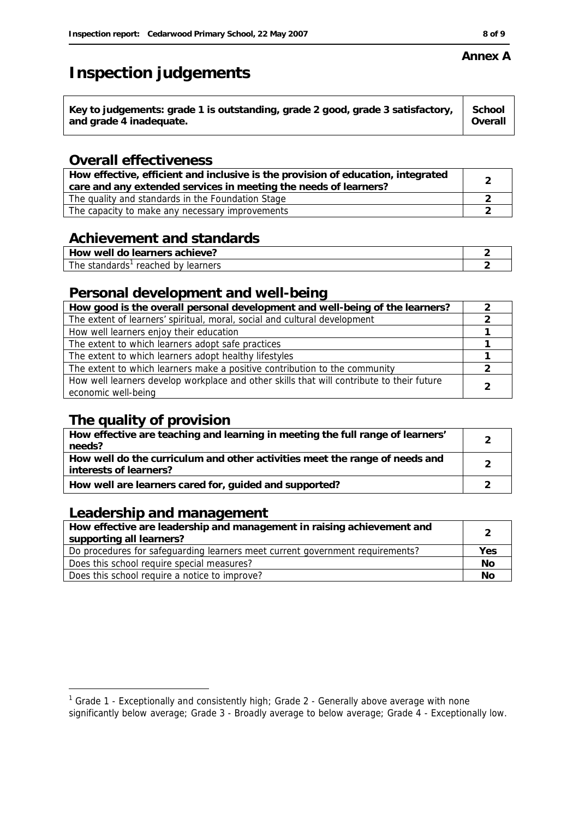# **Inspection judgements**

| Key to judgements: grade 1 is outstanding, grade 2 good, grade 3 satisfactory,<br>School<br>Overall<br>and grade 4 inadequate. |  |
|--------------------------------------------------------------------------------------------------------------------------------|--|
|--------------------------------------------------------------------------------------------------------------------------------|--|

#### **Overall effectiveness**

| How effective, efficient and inclusive is the provision of education, integrated<br>care and any extended services in meeting the needs of learners? |  |
|------------------------------------------------------------------------------------------------------------------------------------------------------|--|
| The quality and standards in the Foundation Stage                                                                                                    |  |
| The capacity to make any necessary improvements                                                                                                      |  |

#### **Achievement and standards**

| achieve?: `<br>, learners<br>ിറ<br>well<br><b>HOW</b> |  |
|-------------------------------------------------------|--|
| The<br>: standards<br>learners<br>reached<br>hv<br>   |  |

#### **Personal development and well-being**

| How good is the overall personal development and well-being of the learners?                                     |  |
|------------------------------------------------------------------------------------------------------------------|--|
| The extent of learners' spiritual, moral, social and cultural development                                        |  |
| How well learners enjoy their education                                                                          |  |
| The extent to which learners adopt safe practices                                                                |  |
| The extent to which learners adopt healthy lifestyles                                                            |  |
| The extent to which learners make a positive contribution to the community                                       |  |
| How well learners develop workplace and other skills that will contribute to their future<br>economic well-being |  |

## **The quality of provision**

| How effective are teaching and learning in meeting the full range of learners'<br>needs?              |  |
|-------------------------------------------------------------------------------------------------------|--|
| How well do the curriculum and other activities meet the range of needs and<br>interests of learners? |  |
| How well are learners cared for, guided and supported?                                                |  |

### **Leadership and management**

| How effective are leadership and management in raising achievement and<br>supporting all learners? |     |
|----------------------------------------------------------------------------------------------------|-----|
| Do procedures for safeguarding learners meet current government requirements?                      | Yes |
| Does this school require special measures?                                                         | No  |
| Does this school require a notice to improve?                                                      | Νo  |

#### **Annex A**

 1 Grade 1 - Exceptionally and consistently high; Grade 2 - Generally above average with none

significantly below average; Grade 3 - Broadly average to below average; Grade 4 - Exceptionally low.